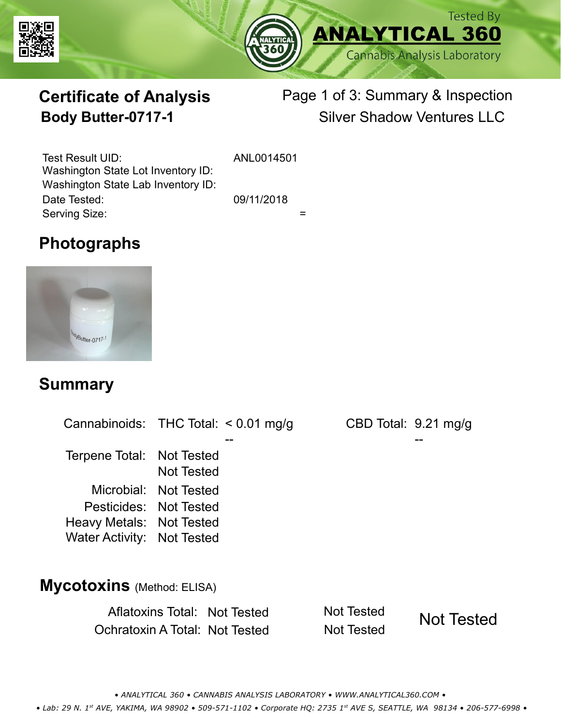



# **Certificate of Analysis**

### Page 1 of 3: Summary & Inspection **Body Butter-0717-1** Silver Shadow Ventures LLC

Serving Size:  $=$ Test Result UID: ANL0014501 Date Tested: 09/11/2018 Washington State Lot Inventory ID: Washington State Lab Inventory ID:

#### **Photographs**



#### **Summary**

Cannabinoids: THC Total:  $< 0.01$  mg/g Terpene Total: Not Tested Microbial: Not Tested CBD Total: 9.21 mg/g Pesticides: Not Tested Heavy Metals: Not Tested -- -- Not Tested Water Activity: Not Tested

## **Mycotoxins** (Method: ELISA)

Aflatoxins Total: Not Tested Not Tested Ochratoxin A Total: Not Tested Not Tested

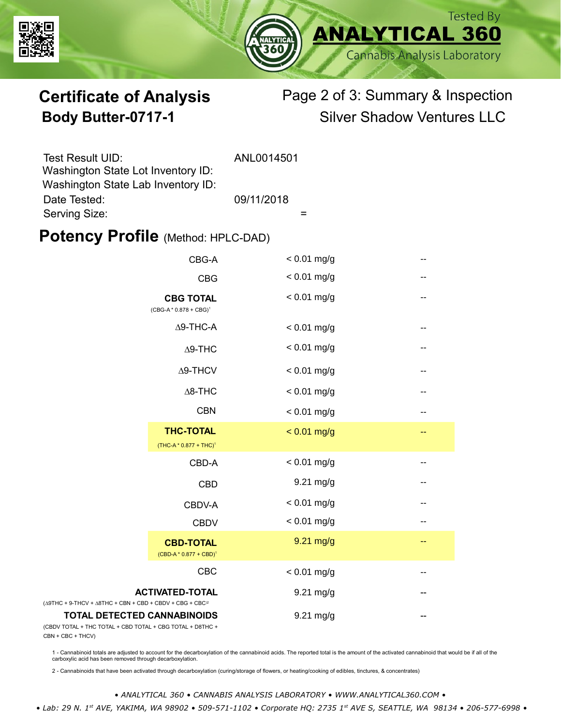



### **Certificate of Analysis** Page 2 of 3: Summary & Inspection **Body Butter-0717-1** Silver Shadow Ventures LLC

| Test Result UID:                   | ANL0014501 |
|------------------------------------|------------|
| Washington State Lot Inventory ID: |            |
| Washington State Lab Inventory ID: |            |
| Date Tested:                       | 09/11/2018 |
| Serving Size:                      |            |

#### **Potency Profile (Method: HPLC-DAD)**

|                                                                                                   | CBG-A                                                  | $< 0.01$ mg/g | -- |
|---------------------------------------------------------------------------------------------------|--------------------------------------------------------|---------------|----|
|                                                                                                   | <b>CBG</b>                                             | $< 0.01$ mg/g | -- |
|                                                                                                   | <b>CBG TOTAL</b><br>$(CBG-A * 0.878 + CBG)^1$          | $< 0.01$ mg/g | -- |
|                                                                                                   | $\Delta$ 9-THC-A                                       | $< 0.01$ mg/g | -- |
|                                                                                                   | $\Delta$ 9-THC                                         | $< 0.01$ mg/g | -- |
|                                                                                                   | $\Delta$ 9-THCV                                        | $< 0.01$ mg/g | -- |
|                                                                                                   | $\Delta$ 8-THC                                         | $< 0.01$ mg/g | -- |
|                                                                                                   | <b>CBN</b>                                             | $< 0.01$ mg/g | -- |
|                                                                                                   | <b>THC-TOTAL</b><br>(THC-A * 0.877 + THC) <sup>1</sup> | $< 0.01$ mg/g | -- |
|                                                                                                   | CBD-A                                                  | $< 0.01$ mg/g | -- |
|                                                                                                   | <b>CBD</b>                                             | 9.21 mg/g     | -- |
|                                                                                                   | CBDV-A                                                 | $< 0.01$ mg/g |    |
|                                                                                                   | <b>CBDV</b>                                            | $< 0.01$ mg/g | -- |
|                                                                                                   | <b>CBD-TOTAL</b><br>$(CBD-A * 0.877 + CBD)^1$          | 9.21 mg/g     | -- |
|                                                                                                   | CBC                                                    | $< 0.01$ mg/g | -- |
| <b>ACTIVATED-TOTAL</b><br>$(\Delta 9THC + 9-THCV + \Delta 8THC + CBN + CBD + CBDV + CBG + CBC)^2$ |                                                        | 9.21 mg/g     |    |
| <b>TOTAL DETECTED CANNABINOIDS</b><br>(CBDV TOTAL + THC TOTAL + CBD TOTAL + CBG TOTAL + D8THC +   |                                                        | $9.21$ mg/g   |    |

(CBDV TOTAL + THC TOTAL CBN + CBC + THCV)

1 - Cannabinoid totals are adjusted to account for the decarboxylation of the cannabinoid acids. The reported total is the amount of the activated cannabinoid that would be if all of the<br>carboxylic acid has been removed th

2 - Cannabinoids that have been activated through decarboxylation (curing/storage of flowers, or heating/cooking of edibles, tinctures, & concentrates)

*• ANALYTICAL 360 • CANNABIS ANALYSIS LABORATORY • WWW.ANALYTICAL360.COM •*

 *• Lab: 29 N. 1st AVE, YAKIMA, WA 98902 • 509-571-1102 • Corporate HQ: 2735 1st AVE S, SEATTLE, WA 98134 • 206-577-6998 •*